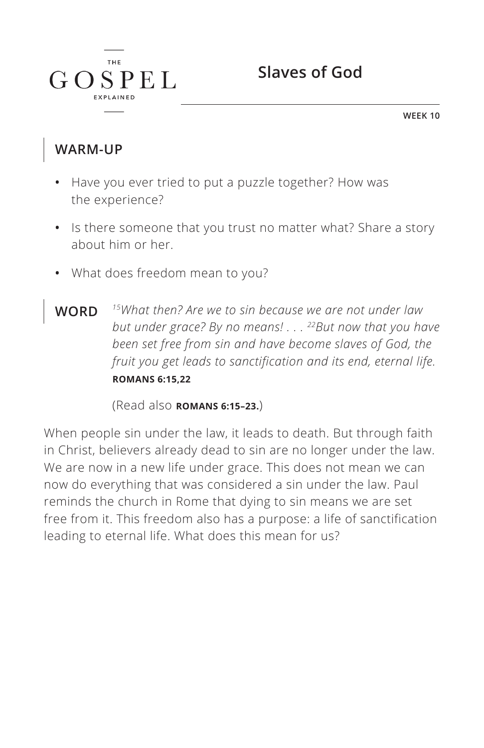

**WEEK 10**

### **WARM-UP**

 $\int$   $\int$   $\int$   $\int$ 

**THE** 

 $SPEL$ 

- **•** Have you ever tried to put a puzzle together? How was the experience?
- **•** Is there someone that you trust no matter what? Share a story about him or her.
- **•** What does freedom mean to you?
- **WORD** *15What then? Are we to sin because we are not under law but under grace? By no means! . . . 22But now that you have been set free from sin and have become slaves of God, the fruit you get leads to sanctification and its end, eternal life. ^***ROMANS 6:15,22**

(Read also **ROMANS 6:15-23.**)

When people sin under the law, it leads to death. But through faith in Christ, believers already dead to sin are no longer under the law. We are now in a new life under grace. This does not mean we can now do everything that was considered a sin under the law. Paul reminds the church in Rome that dying to sin means we are set free from it. This freedom also has a purpose: a life of sanctification leading to eternal life. What does this mean for us?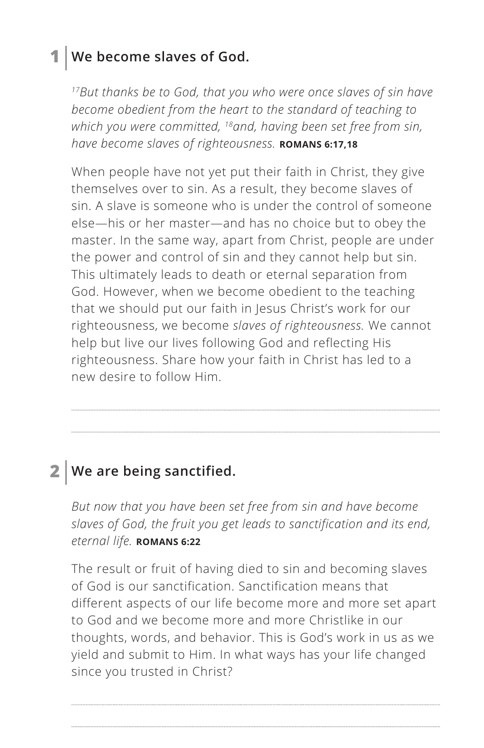### **1 We become slaves of God.**

*17But thanks be to God, that you who were once slaves of sin have become obedient from the heart to the standard of teaching to which you were committed, 18and, having been set free from sin, have become slaves of righteousness. ^***ROMANS 6:17,18**

When people have not yet put their faith in Christ, they give themselves over to sin. As a result, they become slaves of sin. A slave is someone who is under the control of someone else—his or her master—and has no choice but to obey the master. In the same way, apart from Christ, people are under the power and control of sin and they cannot help but sin. This ultimately leads to death or eternal separation from God. However, when we become obedient to the teaching that we should put our faith in Jesus Christ's work for our righteousness, we become *slaves of righteousness.* We cannot help but live our lives following God and reflecting His righteousness. Share how your faith in Christ has led to a new desire to follow Him.

### **2 We are being sanctified.**

*But now that you have been set free from sin and have become slaves of God, the fruit you get leads to sanctification and its end, eternal life. ^***ROMANS 6:22**

The result or fruit of having died to sin and becoming slaves of God is our sanctification. Sanctification means that different aspects of our life become more and more set apart to God and we become more and more Christlike in our thoughts, words, and behavior. This is God's work in us as we yield and submit to Him. In what ways has your life changed since you trusted in Christ?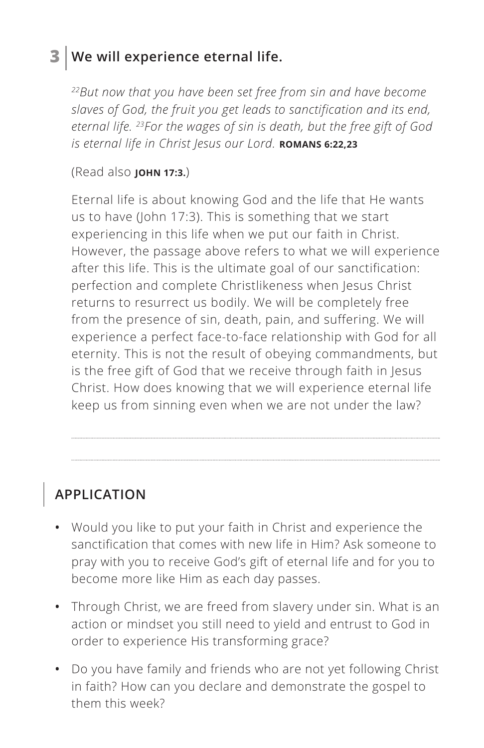## **3 We will experience eternal life.**

*22But now that you have been set free from sin and have become slaves of God, the fruit you get leads to sanctification and its end, eternal life. 23For the wages of sin is death, but the free gift of God is eternal life in Christ Jesus our Lord. ^***ROMANS 6:22,23**

#### (Read also **JOHN 17:3.**)

Eternal life is about knowing God and the life that He wants us to have (John 17:3). This is something that we start experiencing in this life when we put our faith in Christ. However, the passage above refers to what we will experience after this life. This is the ultimate goal of our sanctification: perfection and complete Christlikeness when Jesus Christ returns to resurrect us bodily. We will be completely free from the presence of sin, death, pain, and suffering. We will experience a perfect face-to-face relationship with God for all eternity. This is not the result of obeying commandments, but is the free gift of God that we receive through faith in Jesus Christ. How does knowing that we will experience eternal life keep us from sinning even when we are not under the law?

# **APPLICATION**

- **•** Would you like to put your faith in Christ and experience the sanctification that comes with new life in Him? Ask someone to pray with you to receive God's gift of eternal life and for you to become more like Him as each day passes.
- **•** Through Christ, we are freed from slavery under sin. What is an action or mindset you still need to yield and entrust to God in order to experience His transforming grace?
- **•** Do you have family and friends who are not yet following Christ in faith? How can you declare and demonstrate the gospel to them this week?